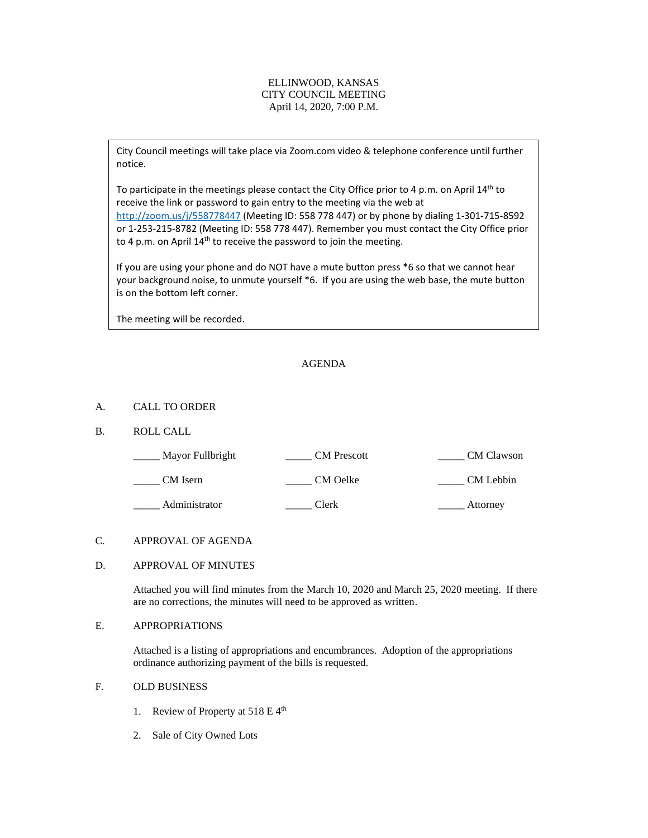#### ELLINWOOD, KANSAS CITY COUNCIL MEETING April 14, 2020, 7:00 P.M.

City Council meetings will take place via Zoom.com video & telephone conference until further notice.

To participate in the meetings please contact the City Office prior to 4 p.m. on April 14<sup>th</sup> to receive the link or password to gain entry to the meeting via the web at <http://zoom.us/j/558778447> (Meeting ID: 558 778 447) or by phone by dialing 1-301-715-8592 or 1-253-215-8782 (Meeting ID: 558 778 447). Remember you must contact the City Office prior to 4 p.m. on April  $14<sup>th</sup>$  to receive the password to join the meeting.

If you are using your phone and do NOT have a mute button press \*6 so that we cannot hear your background noise, to unmute yourself \*6. If you are using the web base, the mute button is on the bottom left corner.

The meeting will be recorded.

## AGENDA

#### A. CALL TO ORDER

### B. ROLL CALL

| Mayor Fullbright | <b>CM</b> Prescott | CM Clawson |
|------------------|--------------------|------------|
| CM Isern         | CM Oelke           | CM Lebbin  |
| Administrator    | Clerk              | Attorney   |

## C. APPROVAL OF AGENDA

# D. APPROVAL OF MINUTES

Attached you will find minutes from the March 10, 2020 and March 25, 2020 meeting. If there are no corrections, the minutes will need to be approved as written.

### E. APPROPRIATIONS

Attached is a listing of appropriations and encumbrances. Adoption of the appropriations ordinance authorizing payment of the bills is requested.

# F. OLD BUSINESS

- 1. Review of Property at 518 E 4<sup>th</sup>
- 2. Sale of City Owned Lots